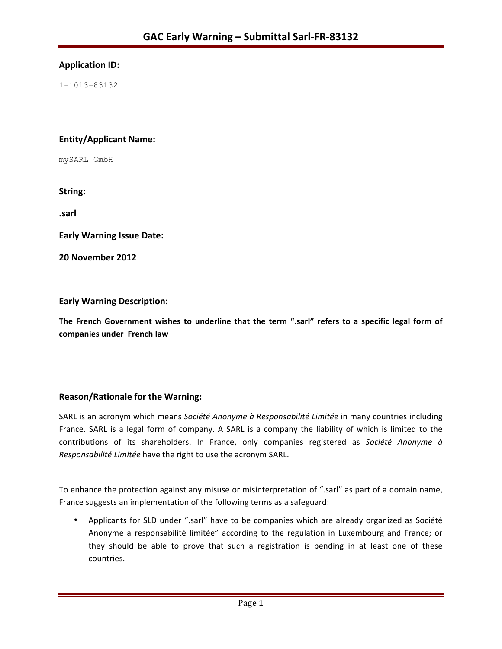## **Application ID:**

1-1013-83132

## **Entity/Applicant Name:**

mySARL GmbH

String:

**.sarl**

**Early Warning Issue Date:** 

**20 November 2012**

## **Early Warning Description:**

The French Government wishes to underline that the term ".sarl" refers to a specific legal form of **companies under French law**

## **Reason/Rationale for the Warning:**

SARL is an acronym which means Société Anonyme à Responsabilité Limitée in many countries including France. SARL is a legal form of company. A SARL is a company the liability of which is limited to the contributions of its shareholders. In France, only companies registered as Société Anonyme à *Responsabilité Limitée* have the right to use the acronym SARL.

To enhance the protection against any misuse or misinterpretation of ".sarl" as part of a domain name, France suggests an implementation of the following terms as a safeguard:

• Applicants for SLD under ".sarl" have to be companies which are already organized as Société Anonyme à responsabilité limitée" according to the regulation in Luxembourg and France; or they should be able to prove that such a registration is pending in at least one of these countries.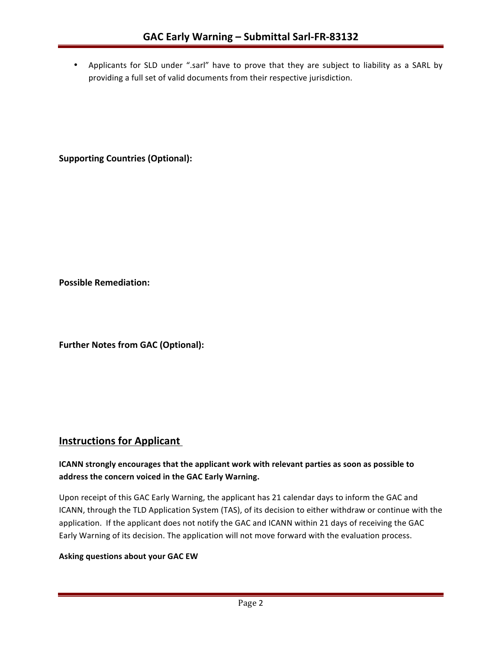• Applicants for SLD under ".sarl" have to prove that they are subject to liability as a SARL by providing a full set of valid documents from their respective jurisdiction.

**Supporting Countries (Optional):** 

**Possible Remediation:**

**Further Notes from GAC (Optional):** 

# **Instructions for Applicant**

## **ICANN** strongly encourages that the applicant work with relevant parties as soon as possible to address the concern voiced in the GAC Early Warning.

Upon receipt of this GAC Early Warning, the applicant has 21 calendar days to inform the GAC and ICANN, through the TLD Application System (TAS), of its decision to either withdraw or continue with the application. If the applicant does not notify the GAC and ICANN within 21 days of receiving the GAC Early Warning of its decision. The application will not move forward with the evaluation process.

#### **Asking questions about your GAC EW**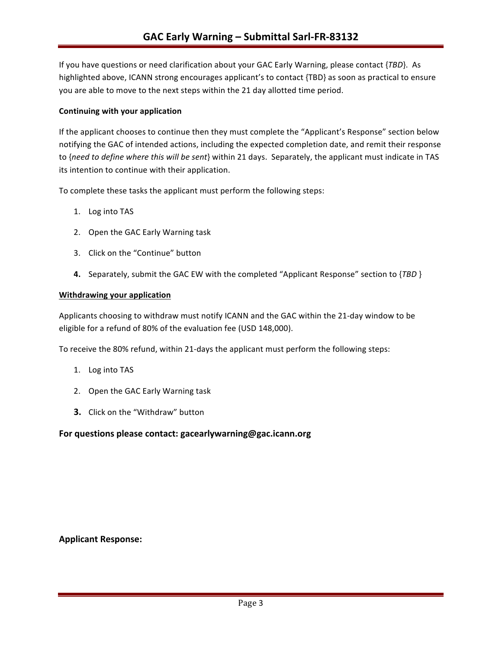If you have questions or need clarification about your GAC Early Warning, please contact {TBD}. As highlighted above, ICANN strong encourages applicant's to contact {TBD} as soon as practical to ensure you are able to move to the next steps within the 21 day allotted time period.

#### **Continuing with your application**

If the applicant chooses to continue then they must complete the "Applicant's Response" section below notifying the GAC of intended actions, including the expected completion date, and remit their response to {need to define where this will be sent} within 21 days. Separately, the applicant must indicate in TAS its intention to continue with their application.

To complete these tasks the applicant must perform the following steps:

- 1. Log into TAS
- 2. Open the GAC Early Warning task
- 3. Click on the "Continue" button
- **4.** Separately, submit the GAC EW with the completed "Applicant Response" section to {TBD }

#### **Withdrawing your application**

Applicants choosing to withdraw must notify ICANN and the GAC within the 21-day window to be eligible for a refund of 80% of the evaluation fee (USD 148,000).

To receive the 80% refund, within 21-days the applicant must perform the following steps:

- 1. Log into TAS
- 2. Open the GAC Early Warning task
- **3.** Click on the "Withdraw" button

#### For questions please contact: gacearlywarning@gac.icann.org

#### **Applicant Response:**